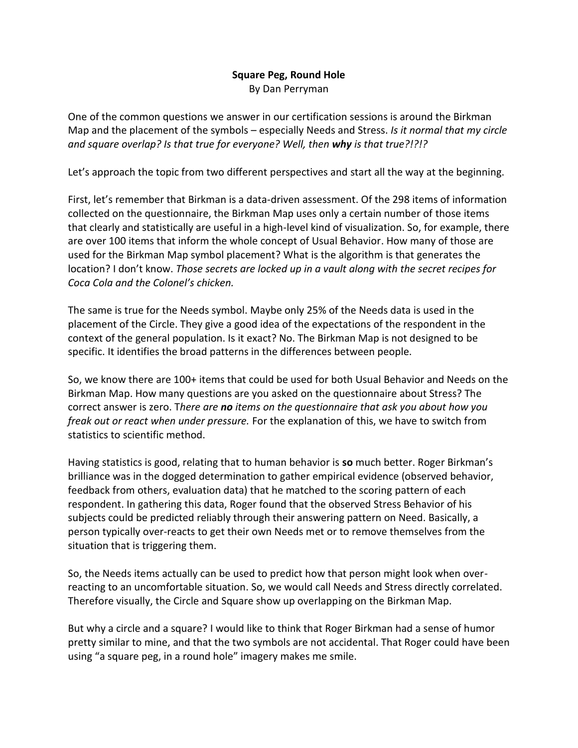## **Square Peg, Round Hole** By Dan Perryman

One of the common questions we answer in our certification sessions is around the Birkman Map and the placement of the symbols – especially Needs and Stress. *Is it normal that my circle and square overlap? Is that true for everyone? Well, then why is that true?!?!?*

Let's approach the topic from two different perspectives and start all the way at the beginning.

First, let's remember that Birkman is a data-driven assessment. Of the 298 items of information collected on the questionnaire, the Birkman Map uses only a certain number of those items that clearly and statistically are useful in a high-level kind of visualization. So, for example, there are over 100 items that inform the whole concept of Usual Behavior. How many of those are used for the Birkman Map symbol placement? What is the algorithm is that generates the location? I don't know. *Those secrets are locked up in a vault along with the secret recipes for Coca Cola and the Colonel's chicken.*

The same is true for the Needs symbol. Maybe only 25% of the Needs data is used in the placement of the Circle. They give a good idea of the expectations of the respondent in the context of the general population. Is it exact? No. The Birkman Map is not designed to be specific. It identifies the broad patterns in the differences between people.

So, we know there are 100+ items that could be used for both Usual Behavior and Needs on the Birkman Map. How many questions are you asked on the questionnaire about Stress? The correct answer is zero. T*here are no items on the questionnaire that ask you about how you freak out or react when under pressure.* For the explanation of this, we have to switch from statistics to scientific method.

Having statistics is good, relating that to human behavior is **so** much better. Roger Birkman's brilliance was in the dogged determination to gather empirical evidence (observed behavior, feedback from others, evaluation data) that he matched to the scoring pattern of each respondent. In gathering this data, Roger found that the observed Stress Behavior of his subjects could be predicted reliably through their answering pattern on Need. Basically, a person typically over-reacts to get their own Needs met or to remove themselves from the situation that is triggering them.

So, the Needs items actually can be used to predict how that person might look when overreacting to an uncomfortable situation. So, we would call Needs and Stress directly correlated. Therefore visually, the Circle and Square show up overlapping on the Birkman Map.

But why a circle and a square? I would like to think that Roger Birkman had a sense of humor pretty similar to mine, and that the two symbols are not accidental. That Roger could have been using "a square peg, in a round hole" imagery makes me smile.